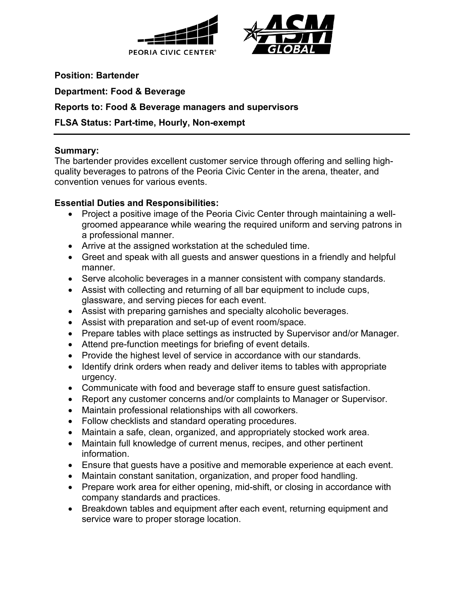



**Position: Bartender**

**Department: Food & Beverage**

### **Reports to: Food & Beverage managers and supervisors**

### **FLSA Status: Part-time, Hourly, Non-exempt**

#### **Summary:**

The bartender provides excellent customer service through offering and selling highquality beverages to patrons of the Peoria Civic Center in the arena, theater, and convention venues for various events.

### **Essential Duties and Responsibilities:**

- Project a positive image of the Peoria Civic Center through maintaining a wellgroomed appearance while wearing the required uniform and serving patrons in a professional manner.
- Arrive at the assigned workstation at the scheduled time.
- Greet and speak with all guests and answer questions in a friendly and helpful manner.
- Serve alcoholic beverages in a manner consistent with company standards.
- Assist with collecting and returning of all bar equipment to include cups, glassware, and serving pieces for each event.
- Assist with preparing garnishes and specialty alcoholic beverages.
- Assist with preparation and set-up of event room/space.
- Prepare tables with place settings as instructed by Supervisor and/or Manager.
- Attend pre-function meetings for briefing of event details.
- Provide the highest level of service in accordance with our standards.
- Identify drink orders when ready and deliver items to tables with appropriate urgency.
- Communicate with food and beverage staff to ensure guest satisfaction.
- Report any customer concerns and/or complaints to Manager or Supervisor.
- Maintain professional relationships with all coworkers.
- Follow checklists and standard operating procedures.
- Maintain a safe, clean, organized, and appropriately stocked work area.
- Maintain full knowledge of current menus, recipes, and other pertinent information.
- Ensure that guests have a positive and memorable experience at each event.
- Maintain constant sanitation, organization, and proper food handling.
- Prepare work area for either opening, mid-shift, or closing in accordance with company standards and practices.
- Breakdown tables and equipment after each event, returning equipment and service ware to proper storage location.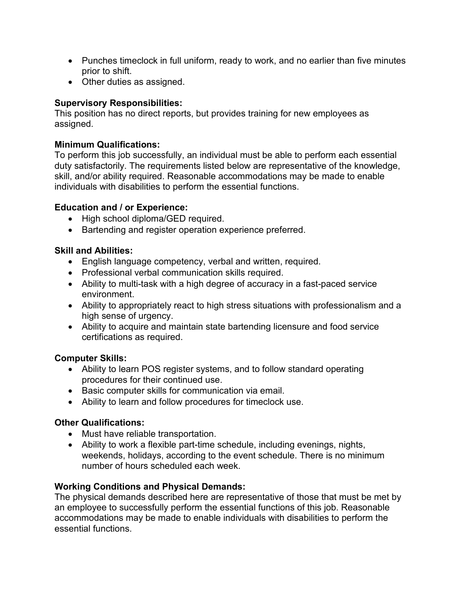- Punches timeclock in full uniform, ready to work, and no earlier than five minutes prior to shift.
- Other duties as assigned.

# **Supervisory Responsibilities:**

This position has no direct reports, but provides training for new employees as assigned.

## **Minimum Qualifications:**

To perform this job successfully, an individual must be able to perform each essential duty satisfactorily. The requirements listed below are representative of the knowledge, skill, and/or ability required. Reasonable accommodations may be made to enable individuals with disabilities to perform the essential functions.

### **Education and / or Experience:**

- High school diploma/GED required.
- Bartending and register operation experience preferred.

### **Skill and Abilities:**

- English language competency, verbal and written, required.
- Professional verbal communication skills required.
- Ability to multi-task with a high degree of accuracy in a fast-paced service environment.
- Ability to appropriately react to high stress situations with professionalism and a high sense of urgency.
- Ability to acquire and maintain state bartending licensure and food service certifications as required.

# **Computer Skills:**

- Ability to learn POS register systems, and to follow standard operating procedures for their continued use.
- Basic computer skills for communication via email.
- Ability to learn and follow procedures for timeclock use.

# **Other Qualifications:**

- Must have reliable transportation.
- Ability to work a flexible part-time schedule, including evenings, nights, weekends, holidays, according to the event schedule. There is no minimum number of hours scheduled each week.

#### **Working Conditions and Physical Demands:**

The physical demands described here are representative of those that must be met by an employee to successfully perform the essential functions of this job. Reasonable accommodations may be made to enable individuals with disabilities to perform the essential functions.